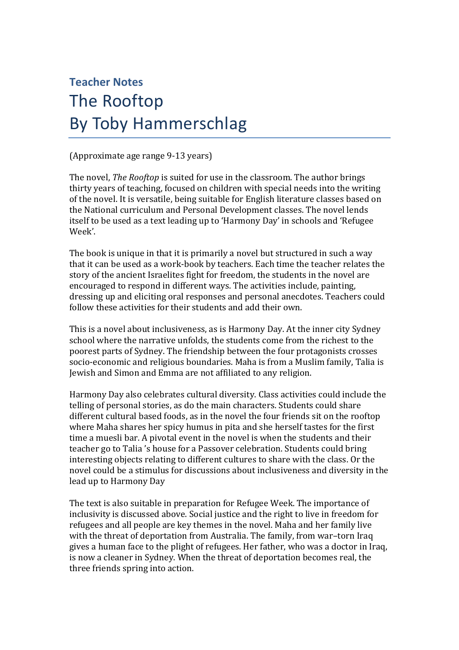## **Teacher Notes**

## The Rooftop By Toby Hammerschlag

(Approximate age range 9-13 years)

The novel, *The Rooftop* is suited for use in the classroom. The author brings thirty years of teaching, focused on children with special needs into the writing of the novel. It is versatile, being suitable for English literature classes based on the National curriculum and Personal Development classes. The novel lends itself to be used as a text leading up to 'Harmony Day' in schools and 'Refugee Week'.

The book is unique in that it is primarily a novel but structured in such a way that it can be used as a work-book by teachers. Each time the teacher relates the story of the ancient Israelites fight for freedom, the students in the novel are encouraged to respond in different ways. The activities include, painting, dressing up and eliciting oral responses and personal anecdotes. Teachers could follow these activities for their students and add their own.

This is a novel about inclusiveness, as is Harmony Day. At the inner city Sydney school where the narrative unfolds, the students come from the richest to the poorest parts of Sydney. The friendship between the four protagonists crosses socio-economic and religious boundaries. Maha is from a Muslim family, Talia is Jewish and Simon and Emma are not affiliated to any religion.

Harmony Day also celebrates cultural diversity. Class activities could include the telling of personal stories, as do the main characters. Students could share different cultural based foods, as in the novel the four friends sit on the rooftop where Maha shares her spicy humus in pita and she herself tastes for the first time a muesli bar. A pivotal event in the novel is when the students and their teacher go to Talia 's house for a Passover celebration. Students could bring interesting objects relating to different cultures to share with the class. Or the novel could be a stimulus for discussions about inclusiveness and diversity in the lead up to Harmony Day

The text is also suitable in preparation for Refugee Week. The importance of inclusivity is discussed above. Social justice and the right to live in freedom for refugees and all people are key themes in the novel. Maha and her family live with the threat of deportation from Australia. The family, from war–torn Iraq gives a human face to the plight of refugees. Her father, who was a doctor in Iraq, is now a cleaner in Sydney. When the threat of deportation becomes real, the three friends spring into action.